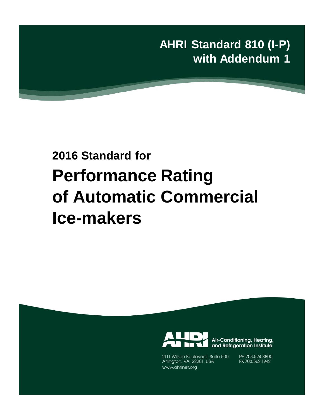**AHRI Standard 810 (I-P) with Addendum 1**

# **2016 Standard for Performance Rating of Automatic Commercial Ice-makers**



Air-Conditioning, Heating, and Refrigeration Institute

2111 Wilson Boulevard, Suite 500 Arlington, VA 22201, USA www.ahrinet.org

PH 703.524.8800 FX 703.562.1942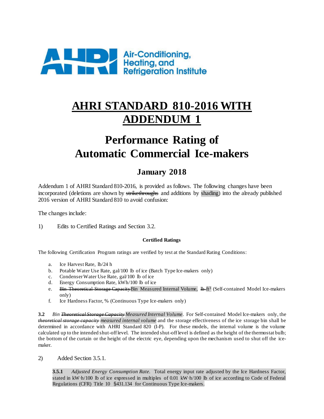

# **AHRI STANDARD 810-2016 WITH ADDENDUM 1**

# **Performance Rating of Automatic Commercial Ice-makers**

## **January 2018**

Addendum 1 of AHRI Standard 810-2016, is provided as follows. The following changes have been incorporated (deletions are shown by strikethroughs and additions by shading) into the already published 2016 version of AHRI Standard 810 to avoid confusion:

The changes include:

1) Edits to Certified Ratings and Section 3.2.

### **Certified Ratings**

The following Certification Program ratings are verified by test at the Standard Rating Conditions:

- a. Ice Harvest Rate, lb/24 h
- b. Potable Water Use Rate, gal/100 lb of ice (Batch Type Ice-makers only)
- c. Condenser Water Use Rate, gal/100 lb of ice
- d. Energy Consumption Rate, kWh/100 lb of ice
- e. Bin Theoretical Storage Capacity Bin Measured Internal Volume, lb ft<sup>3</sup> (Self-contained Model Ice-makers only)
- f. Ice Hardness Factor, % (Continuous Type Ice-makers only)

**3.2** *Bin Theoretical Storage Capacity Measured Internal Volume*. For Self-contained Model Ice-makers only, the *theoretical storage capacity measured internal volume* and the storage effectiveness of the ice storage bin shall be determined in accordance with AHRI Standard 820 (I-P). For these models, the internal volume is the volume calculated up to the intended shut-off level. The intended shut-off level is defined as the height of the thermostat bulb; the bottom of the curtain or the height of the electric eye, depending upon the mechanism used to shut off the icemaker.

2) Added Section 3.5.1.

**3.5.1** *Adjusted Energy Consumption Rate.* Total energy input rate adjusted by the Ice Hardness Factor, stated in kW∙h/100 lb of ice expressed in multiples of 0.01 kW∙h/100 lb of ice according to Code of Federal Regulations (CFR) Title 10 §431.134 for Continuous Type Ice-makers.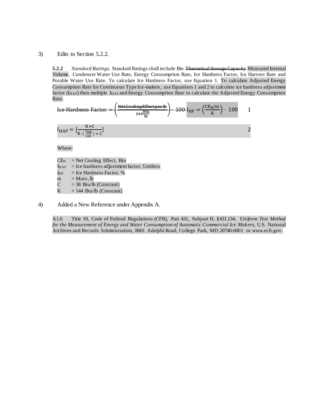### 3) Edits to Section 5.2.2.

**5.2.2** *Standard Ratings.* Standard Ratings shall include Bin Theoretical Storage Capacity Measured Internal Volume, Condenser Water Use Rate, Energy Consumption Rate, Ice Hardness Factor, Ice Harvest Rate and Potable Water Use Rate. To calculate Ice Hardness Factor, use Equation 1. To calculate Adjusted Energy Consumption Rate for Continuous Type Ice-makers, use Equations 1 and 2 to calculate ice hardness adjustment factor (I<sub>HAF</sub>) then multiple I<sub>HAF</sub> and Energy Consumption Rate to calculate the Adjusted Energy Consumption Rate.

See Hardness Factor =

\n
$$
\left(\frac{\text{Net Cooling Effect per lb}}{444 \frac{\text{Bu}}{\text{lb}}}\right) \cdot 100 \, I_{HF} = \left(\frac{\text{CE}_{N}/\text{m}}{K}\right) \cdot 100 \quad 1
$$
\n
$$
I_{HAF} = \left[\frac{K + C}{K \cdot \left(\frac{I_{HF}}{100}\right) + C}\right] \quad 2
$$

Where:

 $CE_N$  = Net Cooling Effect, Btu  $I_{\text{HAF}}$  = Ice hardness adjustment factor, Unitless  $I_{\text{HF}}$  = Ice Hardness Factor, %  $m = Mass, lb$  $C = 38$  Btu/lb (Constant)

 $K = 144$  Btu/lb (Constant)

4) Added a New Reference under Appendix A.

A1.6 Title 10, Code of Federal Regulations (CFR), Part 431, Subpart H, §431.134, *Uniform Test Method for the Measurement of Energy and Water Consumption of Automatic Commercial Ice Makers,* U.S. National Archives and Records Administration, 8601 Adelphi Road, College Park, MD 20740-6001 or www.ecfr.gov.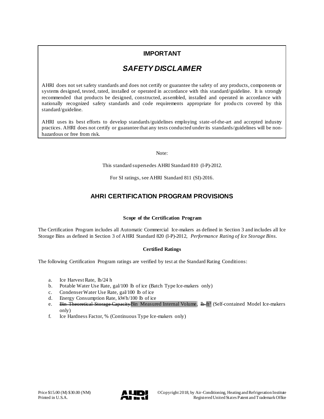### **IMPORTANT**

### *SAFETY DISCLAIMER*

AHRI does not set safety standards and does not certify or guarantee the safety of any products, components or systems designed, tested, rated, installed or operated in accordance with this standard/guideline. It is strongly recommended that products be designed, constructed, assembled, installed and operated in accordance with nationally recognized safety standards and code requirements appropriate for products covered by this standard/guideline.

AHRI uses its best efforts to develop standards/guidelines employing state-of-the-art and accepted industry practices. AHRI does not certify or guarantee that any tests conducted under its standards/guidelines will be nonhazardous or free from risk.

Note:

This standard supersedes AHRI Standard 810 (I-P)-2012.

For SI ratings, see AHRI Standard 811 (SI)-2016.

### **AHRI CERTIFICATION PROGRAM PROVISIONS**

### **Scope of the Certification Program**

The Certification Program includes all Automatic Commercial Ice-makers as defined in Section 3 and includes all Ice Storage Bins as defined in Section 3 of AHRI Standard 820 (I-P)-2012, *Performance Rating of Ice Storage Bins*.

### **Certified Ratings**

The following Certification Program ratings are verified by test at the Standard Rating Conditions:

- a. Ice Harvest Rate, lb/24 h
- b. Potable Water Use Rate, gal/100 lb of ice (Batch Type Ice-makers only)
- c. Condenser Water Use Rate, gal/100 lb of ice d. Energy Consumption Rate. kWh/100 lb of ice
- Energy Consumption Rate, kWh/100 lb of ice
- e. Bin Theoretical Storage Capacity Bin Measured Internal Volume, 1b ft<sup>3</sup> (Self-contained Model Ice-makers only)
- f. Ice Hardness Factor, % (Continuous Type Ice-makers only)

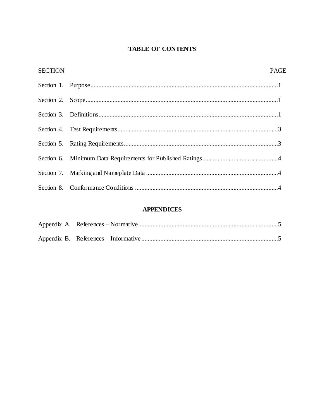### **TABLE OF CONTENTS**

| <b>SECTION</b> | <b>PAGE</b> |
|----------------|-------------|
|                |             |
|                |             |
|                |             |
|                |             |
|                |             |
|                |             |
|                |             |
|                |             |

### **APPENDICES**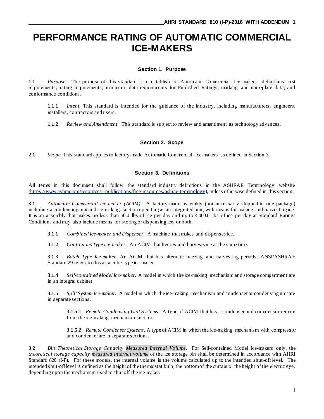# **PERFORMANCE RATING OF AUTOMATIC COMMERCIAL ICE-MAKERS**

#### **Section 1. Purpose**

**1.1** *Purpose.* The purpose of this standard is to establish for Automatic Commercial Ice-makers: definitions; test requirements; rating requirements; minimum data requirements for Published Ratings; marking and nameplate data; and conformance conditions.

**1.1.1** *Intent.* This standard is intended for the guidance of the industry, including manufacturers, engineers, installers, contractors and users.

**1.1.2** *Review and Amendment.* This standard is subject to review and amendment as technology advances.

### **Section 2. Scope**

**2.1** *Scope.* This standard applies to factory-made Automatic Commercial Ice-makers as defined in Section 3.

### **Section 3. Definitions**

All terms in this document shall follow the standard industry definitions in the ASHRAE Terminology website [\(https://www.ashrae.org/resources--publications/free-resources/ashrae-terminology\)](https://www.ashrae.org/resources--publications/free-resources/ashrae-terminology), unless otherwise defined in this section.

**3.1** *Automatic Commercial Ice-maker (ACIM).* A factory-made assembly (not necessarily shipped in one package) including a condensing unit and ice-making section operating as an integrated unit, with means for making and harvesting ice. It is an assembly that makes no less than 50.0 lbs of ice per day and up to 4,000.0 lbs of ice per day at Standard Ratings Conditions and may also include means for storing or dispensing ice, or both.

**3.1.1** *Combined Ice-maker and Dispenser*. A machine that makes and dispenses ice.

**3.1.2** *Continuous Type Ice-maker*. An ACIM that freezes and harvests ice at the same time.

**3.1.3** *Batch Type Ice-maker*. An ACIM that has alternate freezing and harvesting periods. ANSI/ASHRAE Standard 29 refers to this as a cube-type ice maker.

**3.1.4** *Self-contained Model Ice-maker.* A model in which the ice-making mechanism and storage compartment are in an integral cabinet.

**3.1.5** *Split System Ice-maker.* A model in which the ice-making mechanism and condenser or condensing unit are in separate sections.

**3.1.5.1** *Remote Condensing Unit Systems*. A type of ACIM that has a condenser and compressor remote from the ice-making mechanism section.

**3.1.5.2** *Remote Condenser Systems*. A type of ACIM in which the ice-making mechanism with compressor and condenser are in separate sections.

**3.2** *Bin Theoretical Storage Capacity Measured Internal Volume*. For Self-contained Model Ice-makers only, the *theoretical storage capacity measured internal volume* of the ice storage bin shall be determined in accordance with AHRI Standard 820 (I-P). For these models, the internal volume is the volume calculated up to the intended shut-off level. The intended shut-off level is defined as the height of the thermostat bulb; the bottom of the curtain or the height of the electric eye, depending upon the mechanism used to shut off the ice-maker.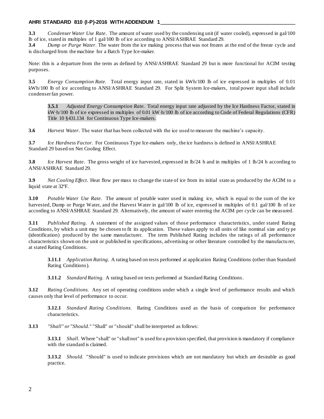### **AHRI STANDARD 810 (I-P)-2016 WITH ADDENDUM 1 \_\_\_\_\_\_\_\_\_\_\_\_\_\_\_\_\_\_\_\_\_\_\_\_\_\_\_\_\_\_\_\_\_\_\_\_\_\_\_\_\_\_\_\_\_\_\_\_**

**3.3** *Condenser Water Use Rate.* The amount of water used by the condensing unit (if water cooled), expressed in gal/100 lb of ice, stated in multiples of 1 gal/100 lb of ice according to ANSI/ASHRAE Standard 29.

**3.4** *Dump or Purge Water*. The water from the ice making process that was not frozen at the end of the freeze cycle and is discharged from the machine for a Batch Type Ice-maker.

Note: this is a departure from the term as defined by ANSI/ASHRAE Standard 29 but is more functional for ACIM testing purposes.

**3.5** *Energy Consumption Rate.* Total energy input rate, stated in kWh/100 lb of ice expressed in multiples of 0.01 kWh/100 lb of ice according to ANSI/ASHRAE Standard 29. For Split System Ice-makers, total power input shall include condenser fan power.

**3.5.1** *Adjusted Energy Consumption Rate.* Total energy input rate adjusted by the Ice Hardness Factor, stated in kW∙h/100 lb of ice expressed in multiples of 0.01 kW∙h/100 lb of ice according to Code of Federal Regulations (CFR) Title 10 §431.134 for Continuous Type Ice-makers.

**3.6** *Harvest Water*. The water that has been collected with the ice used to measure the machine's capacity.

**3.7** *Ice Hardness Factor*. For Continuous Type Ice-makers only, the ice hardness is defined in ANSI/ASHRAE Standard 29 based on Net Cooling Effect.

**3.8** *Ice Harvest Rate*. The gross weight of ice harvested, expressed in lb/24 h and in multiples of 1 lb/24 h according to ANSI/ASHRAE Standard 29.

**3.9** *Net Cooling Effect*. Heat flow per mass to change the state of ice from its initial state as produced by the ACIM to a liquid state at 32ºF.

**3.10** *Potable Water Use Rate.* The amount of potable water used in making ice, which is equal to the sum of the ice harvested, Dump or Purge Water, and the Harvest Water in gal/100 lb of ice, expressed in multiples of 0.1 gal/100 lb of ice according to ANSI/ASHRAE Standard 29. Alternatively, the amount of water entering the ACIM per cycle can be measured.

**3.11** *Published Rating.* A statement of the assigned values of those performance characteristics, under stated Rating Conditions, by which a unit may be chosen to fit its application. These values apply to all units of like nominal size and ty pe (identification) produced by the same manufacturer. The term Published Rating includes the ratings of all performance characteristics shown on the unit or published in specifications, advertising or other literature controlled by the manufactu rer, at stated Rating Conditions.

**3.11.1** *Application Rating.* A rating based on tests performed at application Rating Conditions (other than Standard Rating Conditions).

**3.11.2** *Standard Rating.* A rating based on tests performed at Standard Rating Conditions.

**3.12** *Rating Conditions.* Any set of operating conditions under which a single level of performance results and which causes only that level of performance to occur.

**3.12.1** *Standard Rating Conditions.* Rating Conditions used as the basis of comparison for performance characteristics.

**3.13** *"Shall" or "Should."* "Shall" or "should" shall be interpreted as follows:

**3.13.1** *Shall.* Where "shall" or "shall not" is used for a provision specified, that provision is mandatory if compliance with the standard is claimed.

**3.13.2** *Should.* "Should" is used to indicate provisions which are not mandatory but which are desirable as good practice.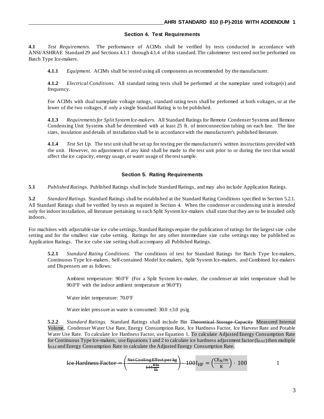#### **Section 4. Test Requirements**

**4.1** *Test Requirements.* The performance of ACIMs shall be verified by tests conducted in accordance with ANSI/ASHRAE Standard 29 and Sections 4.1.1 through 4.1.4 of this standard.The calorimeter test need not be performed on Batch Type Ice-makers.

**4.1.1** *Equipment.* ACIMs shall be tested using all components as recommended by the manufacturer.

**4.1.2** *Electrical Conditions.* All standard rating tests shall be performed at the nameplate rated voltage(s) and frequency.

For ACIMs with dual nameplate voltage ratings, standard rating tests shall be performed at both voltages, or at the lower of the two voltages, if only a single Standard Rating is to be published.

**4.1.3** *Requirements for Split System Ice-makers.* All Standard Ratings for Remote Condenser Systems and Remote Condensing Unit Systems shall be determined with at least 25 ft. of interconnection tubing on each line. The line sizes, insulation and details of installation shall be in accordance with the manufacturer's published literature.

**4.1.4** *Test Set Up.* The test unit shall be set up for testing per the manufacturer's written instructions provided with the unit. However, no adjustments of any kind shall be made to the test unit prior to or during the test that would affect the ice capacity, energy usage, or water usage of the test sample.

### **Section 5. Rating Requirements**

**5.1** *Published Ratings.* Published Ratings shall include Standard Ratings, and may also include Application Ratings.

**5.2** *Standard Ratings.* Standard Ratings shall be established at the Standard Rating Conditions specified in Section 5.2.1. All Standard Ratings shall be verified by tests as required in Section 4. When the condenser or condensing unit is intended only for indoor installation, all literature pertaining to such Split System Ice-makers shall state that they are to be installed only indoors.

For machines with adjustable size ice cube settings, Standard Ratings require the publication of ratings for the largest size cube setting and for the smallest size cube setting. Ratings for any other intermediate size cube settings may be published as Application Ratings. The ice cube size setting shall accompany all Published Ratings.

**5.2.1** *Standard Rating Conditions.* The conditions of test for Standard Ratings for Batch Type Ice-makers, Continuous Type Ice-makers, Self-contained Model Ice-makers, Split System Ice-makers, and Combined Ice-makers and Dispensers are as follows:

Ambient temperature: 90.0°F (For a Split System Ice-maker, the condenser air inlet temperature shall be 90.0°F with the indoor ambient temperature at 90.0°F)

Water inlet temperature: 70.0°F

Water inlet pressure as water is consumed:  $30.0 \pm 3.0$  psig

**5.2.2** *Standard Ratings.* Standard Ratings shall include Bin Theoretical Storage Capacity Measured Internal Volume, Condenser Water Use Rate, Energy Consumption Rate, Ice Hardness Factor, Ice Harvest Rate and Potable Water Use Rate. To calculate Ice Hardness Factor, use Equation 1. To calculate Adjusted Energy Consumption Rate for Continuous Type Ice-makers, use Equations 1 and 2 to calculate ice hardness adjustment factor ( $I_{\text{HAF}}$ ) then multiple IHAF and Energy Consumption Rate to calculate the Adjusted Energy Consumption Rate.

$$
\text{Ice Hardness Factor} = \left(\frac{\text{Net Cooling Effect per kg}}{444 \frac{\text{Bm}}{\text{lb}}}\right) \cdot 100 \text{I}_{\text{HF}} = \left(\frac{\text{CE}_{\text{N}}/m}{\text{K}}\right) \cdot 100 \qquad 1
$$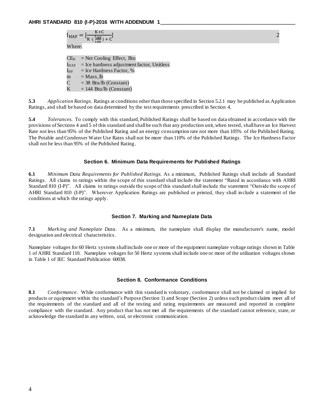$$
I_{\text{HAF}} = \left[\frac{K + C}{K \cdot \left(\frac{I_{\text{HF}}}{100}\right) + C}\right]
$$
  
Where:

 $CE<sub>N</sub>$  = Net Cooling Effect, Btu  $I_{\text{HAF}}$  = Ice hardness adjustment factor, Unitless  $I_{HF}$  = Ice Hardness Factor, %  $m = Mass, lb$  $C = 38$  Btu/lb (Constant)  $K = 144$  Btu/lb (Constant)

**5.3** *Application Ratings.* Ratings at conditions other than those specified in Section 5.2.1 may be published as Application Ratings, and shall be based on data determined by the test requirements prescribed in Section 4.

**5.4** *Tolerances.* To comply with this standard, Published Ratings shall be based on data obtained in accordance with the provisions of Sections 4 and 5 of this standard and shall be such that any production unit, when tested, shall have an Ice Harvest Rate not less than 95% of the Published Rating and an energy consumption rate not more than 105% of the Published Rating. The Potable and Condenser Water Use Rates shall not be more than 110% of the Published Ratings. The Ice Hardness Factor shall not be less than 95% of the Published Rating.

#### **Section 6. Minimum Data Requirements for Published Ratings**

**6.1** *Minimum Data Requirements for Published Ratings.* As a minimum, Published Ratings shall include all Standard Ratings. All claims to ratings within the scope of this standard shall include the statement "Rated in accordance with AHRI Standard 810 (I-P)". All claims to ratings outside the scope of this standard shall include the statement "Outside the scope of AHRI Standard 810 (I-P)". Wherever Application Ratings are published or printed, they shall include a statement of the conditions at which the ratings apply.

#### **Section 7. Marking and Nameplate Data**

**7.1** *Marking and Nameplate Data.* As a minimum, the nameplate shall display the manufacturer's name, model designation and electrical characteristics.

Nameplate voltages for 60 Hertz systems shall include one or more of the equipment nameplate voltage ratings shown in Table 1 of AHRI Standard 110. Nameplate voltages for 50 Hertz systems shall include one or more of the utilization voltages shown in Table 1 of IEC Standard Publication 60038.

#### **Section 8. Conformance Conditions**

**8.1** *Conformance*. While conformance with this standard is voluntary, conformance shall not be claimed or implied for products or equipment within the standard's Purpose (Section 1) and Scope (Section 2) unless such product claims meet all of the requirements of the standard and all of the testing and rating requirements are measured and reported in complete compliance with the standard. Any product that has not met all the requirements of the standard cannot reference, state, or acknowledge the standard in any written, oral, or electronic communication.